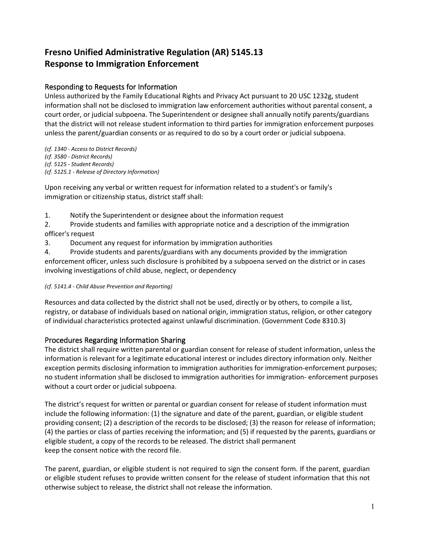# **Fresno Unified Administrative Regulation (AR) 5145.13 Response to Immigration Enforcement**

# Responding to Requests for Information

Unless authorized by the Family Educational Rights and Privacy Act pursuant to 20 USC 1232g, student information shall not be disclosed to immigration law enforcement authorities without parental consent, a court order, or judicial subpoena. The Superintendent or designee shall annually notify parents/guardians that the district will not release student information to third parties for immigration enforcement purposes unless the parent/guardian consents or as required to do so by a court order or judicial subpoena.

*(cf. 1340 - Access to District Records) (cf. 3580 - District Records) (cf. 5125 - Student Records) (cf. 5125.1 - Release of Directory Information)*

Upon receiving any verbal or written request for information related to a student's or family's immigration or citizenship status, district staff shall:

1. Notify the Superintendent or designee about the information request

2. Provide students and families with appropriate notice and a description of the immigration officer's request

3. Document any request for information by immigration authorities

4. Provide students and parents/guardians with any documents provided by the immigration enforcement officer, unless such disclosure is prohibited by a subpoena served on the district or in cases involving investigations of child abuse, neglect, or dependency

### *(cf. 5141.4 - Child Abuse Prevention and Reporting)*

Resources and data collected by the district shall not be used, directly or by others, to compile a list, registry, or database of individuals based on national origin, immigration status, religion, or other category of individual characteristics protected against unlawful discrimination. (Government Code 8310.3)

### Procedures Regarding Information Sharing

The district shall require written parental or guardian consent for release of student information, unless the information is relevant for a legitimate educational interest or includes directory information only. Neither exception permits disclosing information to immigration authorities for immigration-enforcement purposes; no student information shall be disclosed to immigration authorities for immigration- enforcement purposes without a court order or judicial subpoena.

The district's request for written or parental or guardian consent for release of student information must include the following information: (1) the signature and date of the parent, guardian, or eligible student providing consent; (2) a description of the records to be disclosed; (3) the reason for release of information; (4) the parties or class of parties receiving the information; and (5) if requested by the parents, guardians or eligible student, a copy of the records to be released. The district shall permanent keep the consent notice with the record file.

The parent, guardian, or eligible student is not required to sign the consent form. If the parent, guardian or eligible student refuses to provide written consent for the release of student information that this not otherwise subject to release, the district shall not release the information.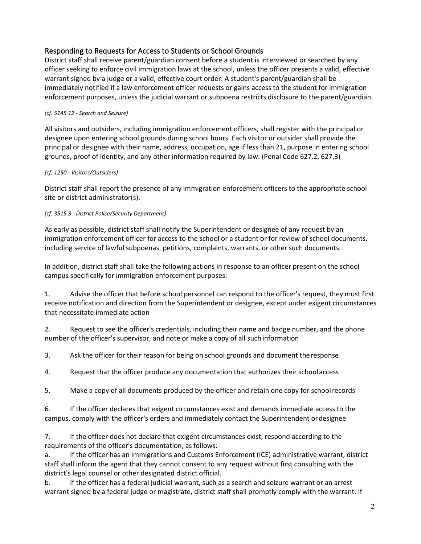# Responding to Requests for Access to Students or School Grounds

District staff shall receive parent/guardian consent before a student is interviewed or searched by any officer seeking to enforce civil immigration laws at the school, unless the officer presents a valid, effective warrant signed by a judge or a valid, effective court order. A student's parent/guardian shall be immediately notified if a law enforcement officer requests or gains access to the student for immigration enforcement purposes, unless the judicial warrant or subpoena restricts disclosure to the parent/guardian.

### *(cf. 5145.12 - Search and Seizure)*

All visitors and outsiders, including immigration enforcement officers, shall register with the principal or designee upon entering school grounds during school hours. Each visitor or outsider shall provide the principal or designee with their name, address, occupation, age if less than 21, purpose in entering school grounds, proof of identity, and any other information required by law. (Penal Code 627.2, 627.3)

#### *(cf. 1250 - Visitors/Outsiders)*

District staff shall report the presence of any immigration enforcement officers to the appropriate school site or district administrator(s).

#### *(cf. 3515.3 - District Police/Security Department)*

As early as possible, district staff shall notify the Superintendent or designee of any request by an immigration enforcement officer for access to the school or a student or for review of school documents, including service of lawful subpoenas, petitions, complaints, warrants, or other such documents.

In addition, district staff shall take the following actions in response to an officer present on the school campus specifically for immigration enforcement purposes:

1. Advise the officer that before school personnel can respond to the officer's request, they must first receive notification and direction from the Superintendent or designee, except under exigent circumstances that necessitate immediate action

2. Request to see the officer's credentials, including their name and badge number, and the phone number of the officer's supervisor, and note or make a copy of all such information

3. Ask the officer for their reason for being on school grounds and document theresponse

4. Request that the officer produce any documentation that authorizes their schoolaccess

5. Make a copy of all documents produced by the officer and retain one copy for schoolrecords

6. If the officer declares that exigent circumstances exist and demands immediate access to the campus, comply with the officer's orders and immediately contact the Superintendent ordesignee

7. If the officer does not declare that exigent circumstances exist, respond according to the requirements of the officer's documentation, as follows:

a. If the officer has an Immigrations and Customs Enforcement (ICE) administrative warrant, district staff shall inform the agent that they cannot consent to any request without first consulting with the district's legal counsel or other designated district official.

b. If the officer has a federal judicial warrant, such as a search and seizure warrant or an arrest warrant signed by a federal judge or magistrate, district staff shall promptly comply with the warrant. If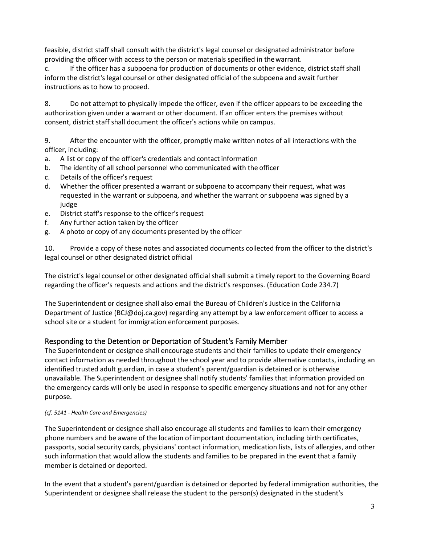feasible, district staff shall consult with the district's legal counsel or designated administrator before providing the officer with access to the person or materials specified in thewarrant.

c. If the officer has a subpoena for production of documents or other evidence, district staff shall inform the district's legal counsel or other designated official of the subpoena and await further instructions as to how to proceed.

8. Do not attempt to physically impede the officer, even if the officer appears to be exceeding the authorization given under a warrant or other document. If an officer enters the premises without consent, district staff shall document the officer's actions while on campus.

9. After the encounter with the officer, promptly make written notes of all interactions with the officer, including:

- a. A list or copy of the officer's credentials and contact information
- b. The identity of all school personnel who communicated with the officer
- c. Details of the officer's request
- d. Whether the officer presented a warrant or subpoena to accompany their request, what was requested in the warrant or subpoena, and whether the warrant or subpoena was signed by a judge
- e. District staff's response to the officer's request
- f. Any further action taken by the officer
- g. A photo or copy of any documents presented by the officer

10. Provide a copy of these notes and associated documents collected from the officer to the district's legal counsel or other designated district official

The district's legal counsel or other designated official shall submit a timely report to the Governing Board regarding the officer's requests and actions and the district's responses. (Education Code 234.7)

The Superintendent or designee shall also email the Bureau of Children's Justice in the California Department of Justice (BCJ@doj.ca.gov) regarding any attempt by a law enforcement officer to access a school site or a student for immigration enforcement purposes.

#### Responding to the Detention or Deportation of Student's Family Member

The Superintendent or designee shall encourage students and their families to update their emergency contact information as needed throughout the school year and to provide alternative contacts, including an identified trusted adult guardian, in case a student's parent/guardian is detained or is otherwise unavailable. The Superintendent or designee shall notify students' families that information provided on the emergency cards will only be used in response to specific emergency situations and not for any other purpose.

#### *(cf. 5141 - Health Care and Emergencies)*

The Superintendent or designee shall also encourage all students and families to learn their emergency phone numbers and be aware of the location of important documentation, including birth certificates, passports, social security cards, physicians' contact information, medication lists, lists of allergies, and other such information that would allow the students and families to be prepared in the event that a family member is detained or deported.

In the event that a student's parent/guardian is detained or deported by federal immigration authorities, the Superintendent or designee shall release the student to the person(s) designated in the student's